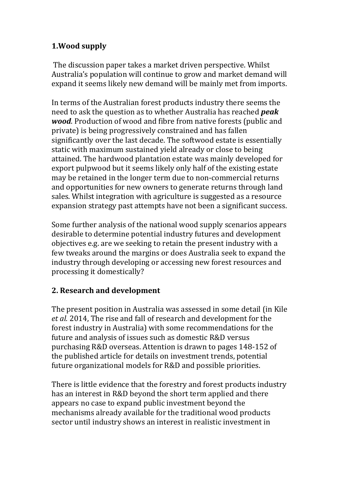## **1.Wood supply**

The discussion paper takes a market driven perspective. Whilst Australia's population will continue to grow and market demand will expand it seems likely new demand will be mainly met from imports.

In terms of the Australian forest products industry there seems the need to ask the question as to whether Australia has reached *peak wood*. Production of wood and fibre from native forests (public and private) is being progressively constrained and has fallen significantly over the last decade. The softwood estate is essentially static with maximum sustained yield already or close to being attained. The hardwood plantation estate was mainly developed for export pulpwood but it seems likely only half of the existing estate may be retained in the longer term due to non-commercial returns and opportunities for new owners to generate returns through land sales. Whilst integration with agriculture is suggested as a resource expansion strategy past attempts have not been a significant success.

Some further analysis of the national wood supply scenarios appears desirable to determine potential industry futures and development objectives e.g. are we seeking to retain the present industry with a few tweaks around the margins or does Australia seek to expand the industry through developing or accessing new forest resources and processing it domestically?

## **2. Research and development**

The present position in Australia was assessed in some detail (in Kile *et al.* 2014, The rise and fall of research and development for the forest industry in Australia) with some recommendations for the future and analysis of issues such as domestic R&D versus purchasing R&D overseas. Attention is drawn to pages 148-152 of the published article for details on investment trends, potential future organizational models for R&D and possible priorities.

There is little evidence that the forestry and forest products industry has an interest in R&D beyond the short term applied and there appears no case to expand public investment beyond the mechanisms already available for the traditional wood products sector until industry shows an interest in realistic investment in